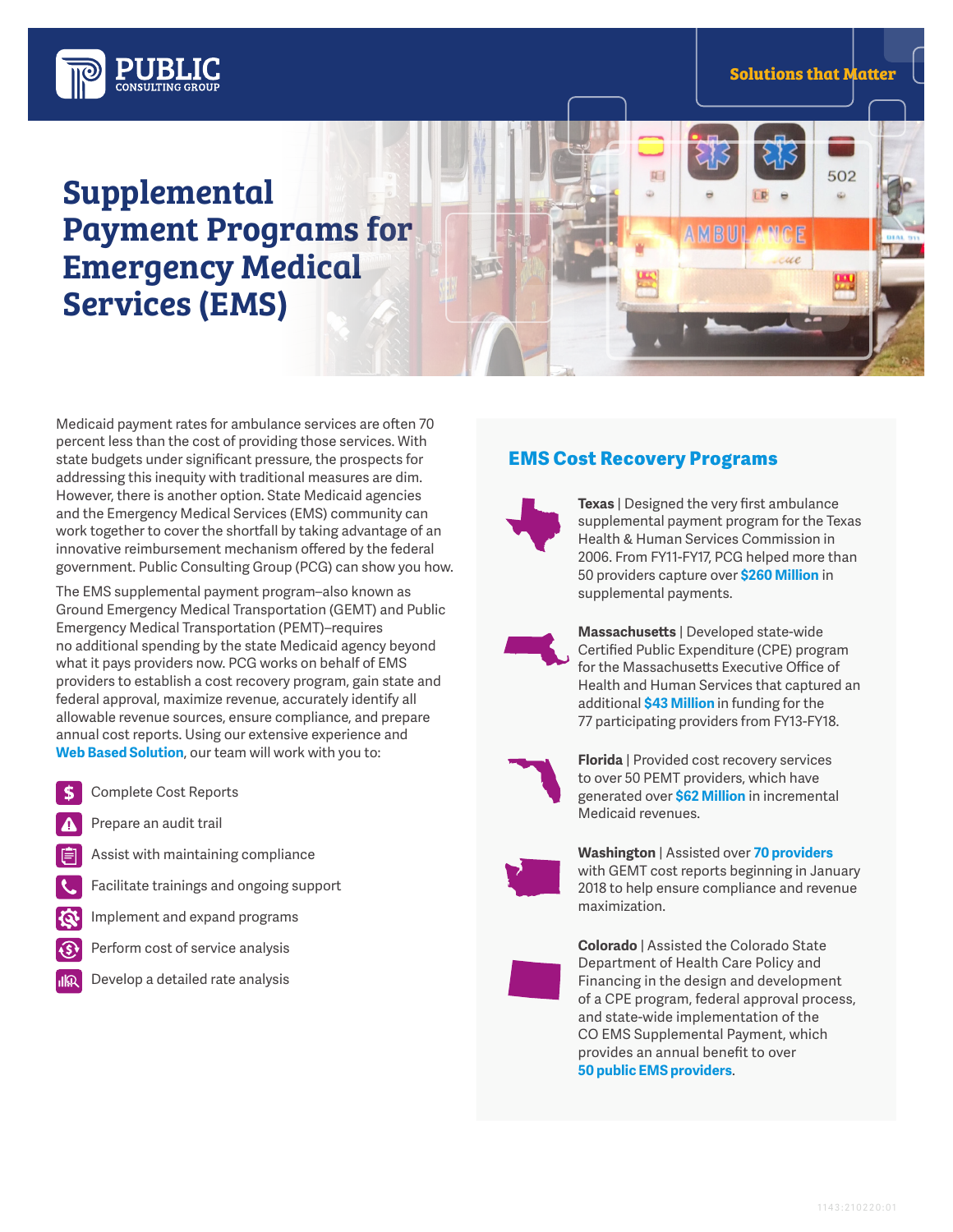

ue

502



# Supplemental Payment Programs for Emergency Medical Services (EMS)

Medicaid payment rates for ambulance services are often 70 percent less than the cost of providing those services. With state budgets under significant pressure, the prospects for addressing this inequity with traditional measures are dim. However, there is another option. State Medicaid agencies and the Emergency Medical Services (EMS) community can work together to cover the shortfall by taking advantage of an innovative reimbursement mechanism offered by the federal government. Public Consulting Group (PCG) can show you how.

The EMS supplemental payment program–also known as Ground Emergency Medical Transportation (GEMT) and Public Emergency Medical Transportation (PEMT)–requires no additional spending by the state Medicaid agency beyond what it pays providers now. PCG works on behalf of EMS providers to establish a cost recovery program, gain state and federal approval, maximize revenue, accurately identify all allowable revenue sources, ensure compliance, and prepare annual cost reports. Using our extensive experience and **Web Based Solution**, our team will work with you to:

- Complete Cost Reports S
- Prepare an audit trail
- Assist with maintaining compliance
- Facilitate trainings and ongoing support
- Implement and expand programs
- Perform cost of service analysis  $\left( \mathsf{S}\right)$
- Develop a detailed rate analysis ılQ

### EMS Cost Recovery Programs

 $\overline{M}$ 

AMBU



**Texas** | Designed the very first ambulance supplemental payment program for the Texas Health & Human Services Commission in 2006. From FY11-FY17, PCG helped more than 50 providers capture over **\$260 Million** in supplemental payments.



**Massachusetts** | Developed state-wide Certified Public Expenditure (CPE) program for the Massachusetts Executive Office of Health and Human Services that captured an additional **\$43 Million** in funding for the 77 participating providers from FY13-FY18.



**Florida** | Provided cost recovery services to over 50 PEMT providers, which have generated over **\$62 Million** in incremental Medicaid revenues.



**Washington** | Assisted over **70 providers**  with GEMT cost reports beginning in January 2018 to help ensure compliance and revenue maximization.



**Colorado** | Assisted the Colorado State Department of Health Care Policy and Financing in the design and development of a CPE program, federal approval process, and state-wide implementation of the CO EMS Supplemental Payment, which provides an annual benefit to over **50 public EMS providers**.